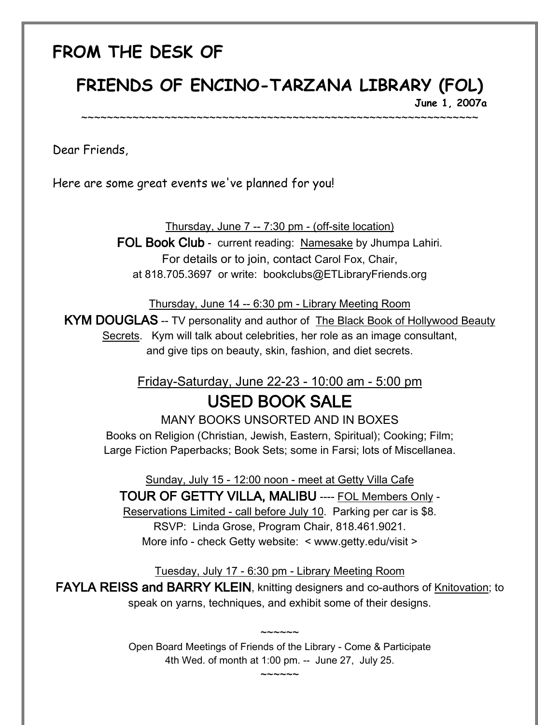## **FROM THE DESK OF**

# **FRIENDS OF ENCINO-TARZANA LIBRARY (FOL)**

~~~~~~~~~~~~~~~~~~~~~~~~~~~~~~~~~~~~~~~~~~~~~~~~~~~~~~~~~~~~~~

**June 1, 2007a** 

Dear Friends,

Here are some great events we've planned for you!

Thursday, June 7 -- 7:30 pm - (off-site location)

FOL Book Club - current reading: Namesake by Jhumpa Lahiri. For details or to join, contact Carol Fox, Chair, at 818.705.3697 or write: bookclubs@ETLibraryFriends.org

Thursday, June 14 -- 6:30 pm - Library Meeting Room

KYM DOUGLAS -- TV personality and author of The Black Book of Hollywood Beauty Secrets. Kym will talk about celebrities, her role as an image consultant, and give tips on beauty, skin, fashion, and diet secrets.

### Friday-Saturday, June 22-23 - 10:00 am - 5:00 pm USED BOOK SALE

MANY BOOKS UNSORTED AND IN BOXES Books on Religion (Christian, Jewish, Eastern, Spiritual); Cooking; Film; Large Fiction Paperbacks; Book Sets; some in Farsi; lots of Miscellanea.

Sunday, July 15 - 12:00 noon - meet at Getty Villa Cafe TOUR OF GETTY VILLA, MALIBU ---- FOL Members Only - Reservations Limited - call before July 10. Parking per car is \$8. RSVP: Linda Grose, Program Chair, 818.461.9021. More info - check Getty website: < www.getty.edu/visit >

Tuesday, July 17 - 6:30 pm - Library Meeting Room

FAYLA REISS and BARRY KLEIN, knitting designers and co-authors of Knitovation; to speak on yarns, techniques, and exhibit some of their designs.

> Open Board Meetings of Friends of the Library - Come & Participate 4th Wed. of month at 1:00 pm. -- June 27, July 25.

> > $\sim$  $\sim$  $\sim$  $\sim$  $\sim$

 $\sim$  $\sim$  $\sim$  $\sim$  $\sim$